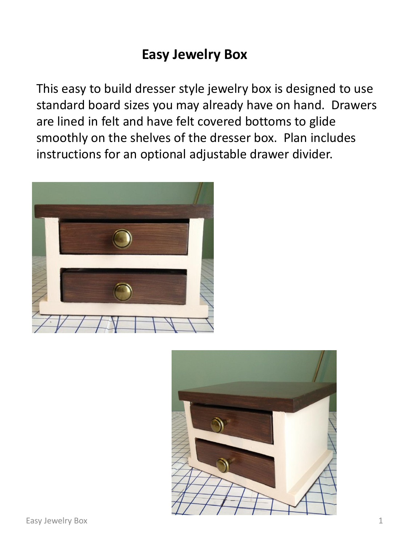## **Easy Jewelry Box**

This easy to build dresser style jewelry box is designed to use standard board sizes you may already have on hand. Drawers are lined in felt and have felt covered bottoms to glide smoothly on the shelves of the dresser box. Plan includes instructions for an optional adjustable drawer divider.



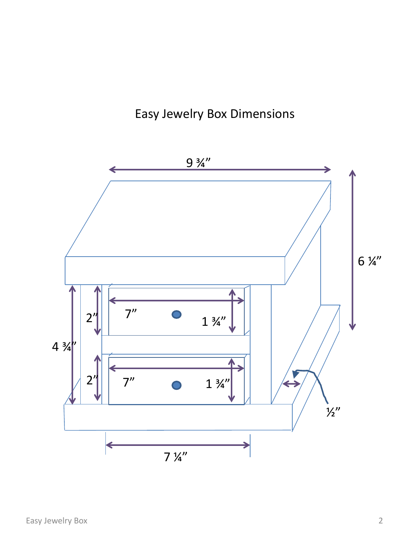## Easy Jewelry Box Dimensions

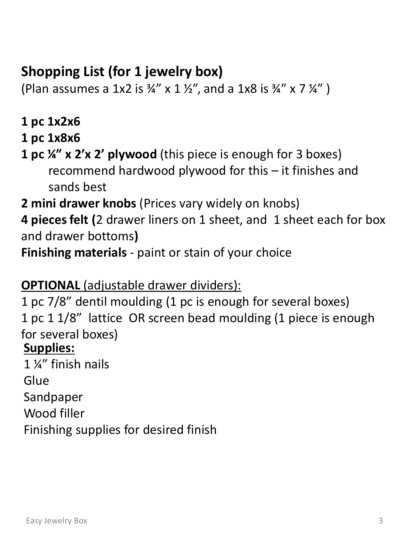# **Shopping List (for 1 jewelry box)**

(Plan assumes a 1x2 is  $\frac{3}{4}$ " x 1  $\frac{1}{2}$ ", and a 1x8 is  $\frac{3}{4}$ " x 7  $\frac{1}{4}$ ")

- **1 pc 1x2x6**
- **1 pc 1x8x6**
- **1 pc ¼" x 2'x 2' plywood** (this piece is enough for 3 boxes) recommend hardwood plywood for this – it finishes and sands best
- **2 mini drawer knobs** (Prices vary widely on knobs)

**4 pieces felt (**2 drawer liners on 1 sheet, and 1 sheet each for box and drawer bottoms**)** 

**Finishing materials** - paint or stain of your choice

### **OPTIONAL** (adjustable drawer dividers):

1 pc 7/8" dentil moulding (1 pc is enough for several boxes) 1 pc 1 1/8" lattice OR screen bead moulding (1 piece is enough for several boxes) **Supplies:**

1 ¼" finish nails **Glue** Sandpaper Wood filler Finishing supplies for desired finish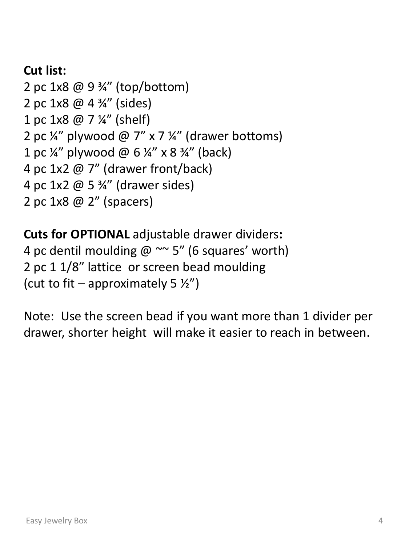### **Cut list:**

2 pc 1x8 @ 9 ¾" (top/bottom) 2 pc 1x8 @ 4 ¾" (sides) 1 pc 1x8 @ 7 ¼" (shelf) 2 pc  $\frac{1}{4}$ " plywood @ 7" x 7  $\frac{1}{4}$ " (drawer bottoms) 1 pc ¼" plywood @  $6\frac{1}{4}$ " x 8 ¾" (back) 4 pc 1x2 @ 7" (drawer front/back) 4 pc 1x2 @ 5 ¾" (drawer sides) 2 pc 1x8 @ 2" (spacers)

**Cuts for OPTIONAL** adjustable drawer dividers**:** 4 pc dentil moulding  $@ \sim 5"$  (6 squares' worth) 2 pc 1 1/8" lattice or screen bead moulding (cut to fit – approximately 5  $\frac{1}{2}$ )

Note: Use the screen bead if you want more than 1 divider per drawer, shorter height will make it easier to reach in between.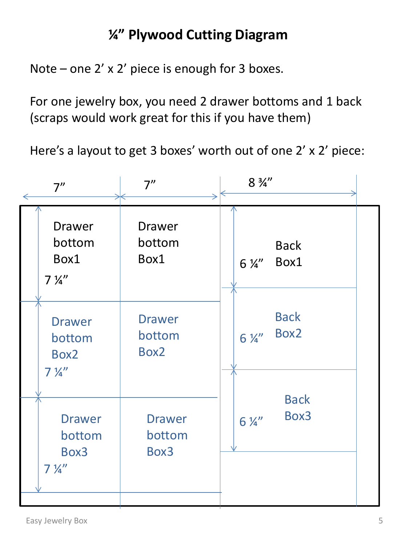# **¼" Plywood Cutting Diagram**

Note – one 2' x 2' piece is enough for 3 boxes.

For one jewelry box, you need 2 drawer bottoms and 1 back (scraps would work great for this if you have them)

Here's a layout to get 3 boxes' worth out of one 2' x 2' piece:

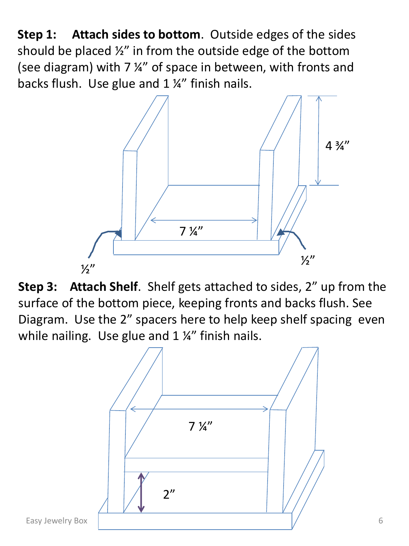**Step 1: Attach sides to bottom**. Outside edges of the sides should be placed ½" in from the outside edge of the bottom (see diagram) with 7 ¼" of space in between, with fronts and backs flush. Use glue and 1 ¼" finish nails.



**Step 3: Attach Shelf**. Shelf gets attached to sides, 2" up from the surface of the bottom piece, keeping fronts and backs flush. See Diagram. Use the 2" spacers here to help keep shelf spacing even while nailing. Use glue and 1 ¼" finish nails.

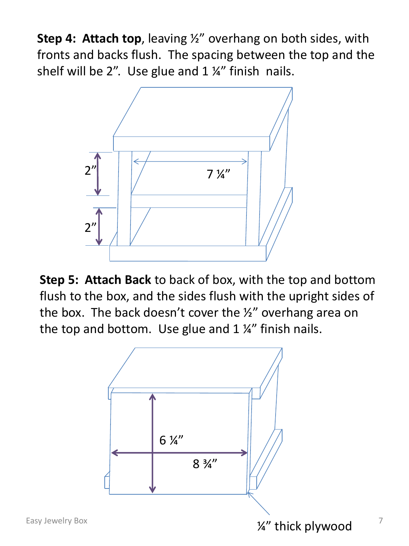**Step 4: Attach top**, leaving ½" overhang on both sides, with fronts and backs flush. The spacing between the top and the shelf will be 2". Use glue and  $1\frac{1}{4}$ " finish nails.



**Step 5: Attach Back** to back of box, with the top and bottom flush to the box, and the sides flush with the upright sides of the box. The back doesn't cover the ½" overhang area on the top and bottom. Use glue and  $1\frac{1}{4}$  finish nails.

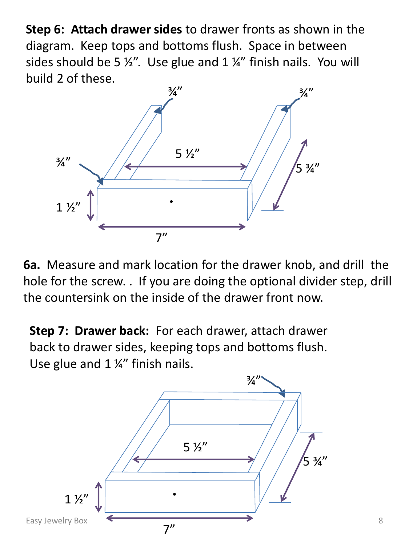**Step 6: Attach drawer sides** to drawer fronts as shown in the diagram. Keep tops and bottoms flush. Space in between sides should be 5  $\frac{1}{2}$ . Use glue and 1  $\frac{1}{4}$  finish nails. You will build 2 of these.



**6a.** Measure and mark location for the drawer knob, and drill the hole for the screw. . If you are doing the optional divider step, drill the countersink on the inside of the drawer front now.

**Step 7: Drawer back:** For each drawer, attach drawer back to drawer sides, keeping tops and bottoms flush. Use glue and 1 ¼" finish nails.

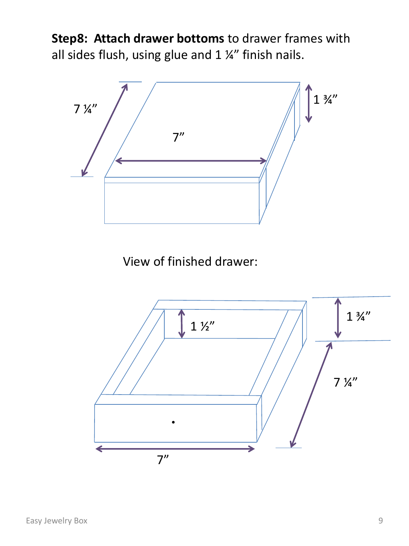**Step8: Attach drawer bottoms** to drawer frames with all sides flush, using glue and  $1\frac{1}{4}$  finish nails.



View of finished drawer:

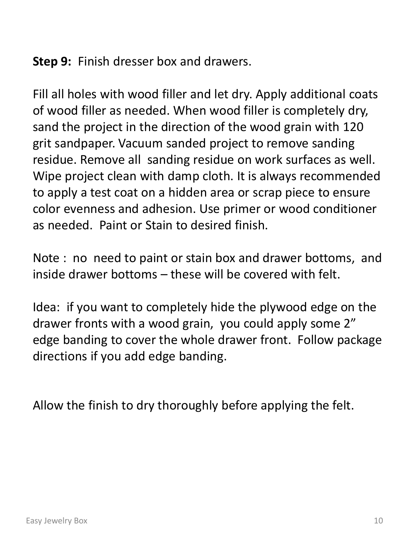**Step 9:** Finish dresser box and drawers.

Fill all holes with wood filler and let dry. Apply additional coats of wood filler as needed. When wood filler is completely dry, sand the project in the direction of the wood grain with 120 grit sandpaper. Vacuum sanded project to remove sanding residue. Remove all sanding residue on work surfaces as well. Wipe project clean with damp cloth. It is always recommended to apply a test coat on a hidden area or scrap piece to ensure color evenness and adhesion. Use primer or wood conditioner as needed. Paint or Stain to desired finish.

Note : no need to paint or stain box and drawer bottoms, and inside drawer bottoms – these will be covered with felt.

Idea: if you want to completely hide the plywood edge on the drawer fronts with a wood grain, you could apply some 2" edge banding to cover the whole drawer front. Follow package directions if you add edge banding.

Allow the finish to dry thoroughly before applying the felt.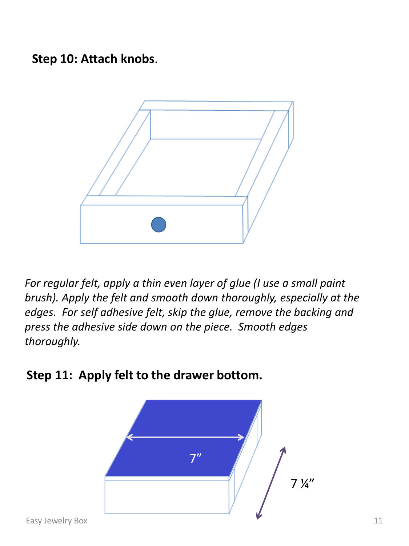**Step 10: Attach knobs**.



*For regular felt, apply a thin even layer of glue (I use a small paint brush). Apply the felt and smooth down thoroughly, especially at the edges. For self adhesive felt, skip the glue, remove the backing and press the adhesive side down on the piece. Smooth edges thoroughly.*



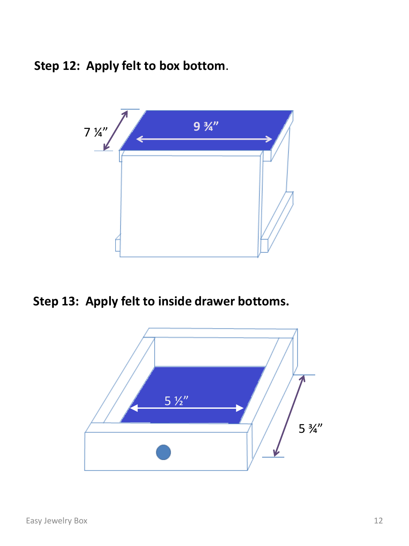**Step 12: Apply felt to box bottom**.



**Step 13: Apply felt to inside drawer bottoms.** 

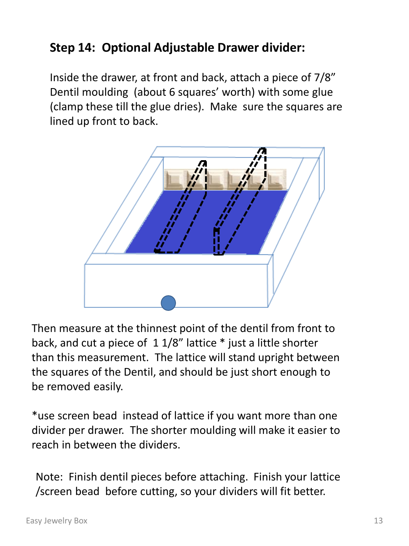### **Step 14: Optional Adjustable Drawer divider:**

Inside the drawer, at front and back, attach a piece of 7/8" Dentil moulding (about 6 squares' worth) with some glue (clamp these till the glue dries). Make sure the squares are lined up front to back.



Then measure at the thinnest point of the dentil from front to back, and cut a piece of 1 1/8" lattice \* just a little shorter than this measurement. The lattice will stand upright between the squares of the Dentil, and should be just short enough to be removed easily.

\*use screen bead instead of lattice if you want more than one divider per drawer. The shorter moulding will make it easier to reach in between the dividers.

Note: Finish dentil pieces before attaching. Finish your lattice /screen bead before cutting, so your dividers will fit better.